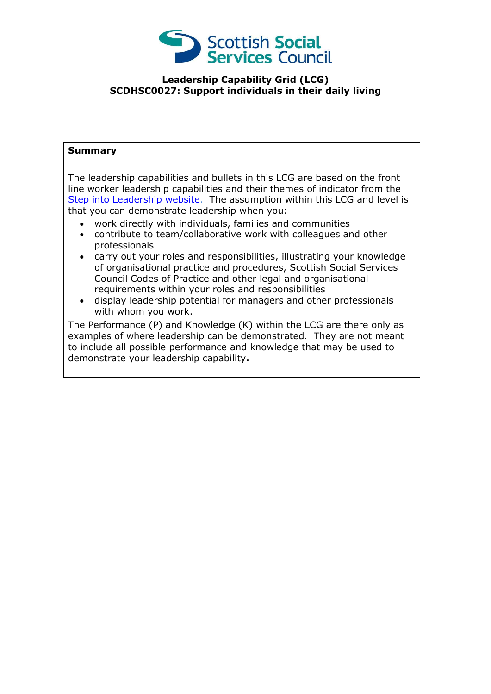

## **Leadership Capability Grid (LCG) SCDHSC0027: Support individuals in their daily living**

## **Summary**

The leadership capabilities and bullets in this LCG are based on the front line worker leadership capabilities and their themes of indicator from the [Step into Leadership website.](http://www.stepintoleadership.info/) The assumption within this LCG and level is that you can demonstrate leadership when you:

- work directly with individuals, families and communities
- contribute to team/collaborative work with colleagues and other professionals
- carry out your roles and responsibilities, illustrating your knowledge of organisational practice and procedures, Scottish Social Services Council Codes of Practice and other legal and organisational requirements within your roles and responsibilities
- display leadership potential for managers and other professionals with whom you work.

The Performance (P) and Knowledge (K) within the LCG are there only as examples of where leadership can be demonstrated. They are not meant to include all possible performance and knowledge that may be used to demonstrate your leadership capability**.**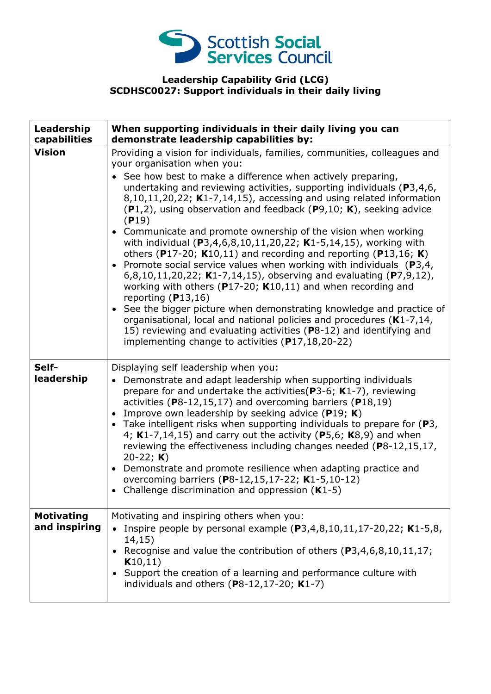

## **Leadership Capability Grid (LCG) SCDHSC0027: Support individuals in their daily living**

| Leadership<br>capabilities         | When supporting individuals in their daily living you can<br>demonstrate leadership capabilities by:                                                                                                                                                                                                                                                                                                                                                                                                                                                                                                                                                                                                                                                                                                                                                                                                                                                                                                                                                                                                                                                   |
|------------------------------------|--------------------------------------------------------------------------------------------------------------------------------------------------------------------------------------------------------------------------------------------------------------------------------------------------------------------------------------------------------------------------------------------------------------------------------------------------------------------------------------------------------------------------------------------------------------------------------------------------------------------------------------------------------------------------------------------------------------------------------------------------------------------------------------------------------------------------------------------------------------------------------------------------------------------------------------------------------------------------------------------------------------------------------------------------------------------------------------------------------------------------------------------------------|
| <b>Vision</b>                      | Providing a vision for individuals, families, communities, colleagues and<br>your organisation when you:<br>See how best to make a difference when actively preparing,<br>undertaking and reviewing activities, supporting individuals ( $P3,4,6$ ,<br>8,10,11,20,22; K1-7,14,15), accessing and using related information<br>$(P1,2)$ , using observation and feedback $(P9,10; K)$ , seeking advice<br>(P19)<br>• Communicate and promote ownership of the vision when working<br>with individual (P3,4,6,8,10,11,20,22; K1-5,14,15), working with<br>others (P17-20; $K10,11$ ) and recording and reporting (P13,16; K)<br>• Promote social service values when working with individuals $(P3,4,$<br>6,8,10,11,20,22; K1-7,14,15), observing and evaluating (P7,9,12),<br>working with others ( $P17-20$ ; K10,11) and when recording and<br>reporting $(P13,16)$<br>• See the bigger picture when demonstrating knowledge and practice of<br>organisational, local and national policies and procedures (K1-7,14,<br>15) reviewing and evaluating activities (P8-12) and identifying and<br>implementing change to activities $(P17, 18, 20 - 22)$ |
| Self-<br>leadership                | Displaying self leadership when you:<br>Demonstrate and adapt leadership when supporting individuals<br>$\bullet$<br>prepare for and undertake the activities ( $P3-6$ ; K1-7), reviewing<br>activities (P8-12,15,17) and overcoming barriers (P18,19)<br>Improve own leadership by seeking advice (P19; K)<br>• Take intelligent risks when supporting individuals to prepare for $(P3,$<br>4; $K1-7,14,15$ ) and carry out the activity (P5,6; $K8,9$ ) and when<br>reviewing the effectiveness including changes needed (P8-12,15,17,<br>20-22; $K$ )<br>Demonstrate and promote resilience when adapting practice and<br>overcoming barriers (P8-12,15,17-22; K1-5,10-12)<br>Challenge discrimination and oppression $(K1-5)$                                                                                                                                                                                                                                                                                                                                                                                                                      |
| <b>Motivating</b><br>and inspiring | Motivating and inspiring others when you:<br>Inspire people by personal example $(P3,4,8,10,11,17-20,22; K1-5,8,$<br>14,15)<br>Recognise and value the contribution of others (P3,4,6,8,10,11,17;<br>K10,11)<br>Support the creation of a learning and performance culture with<br>individuals and others $(P8-12, 17-20; K1-7)$                                                                                                                                                                                                                                                                                                                                                                                                                                                                                                                                                                                                                                                                                                                                                                                                                       |